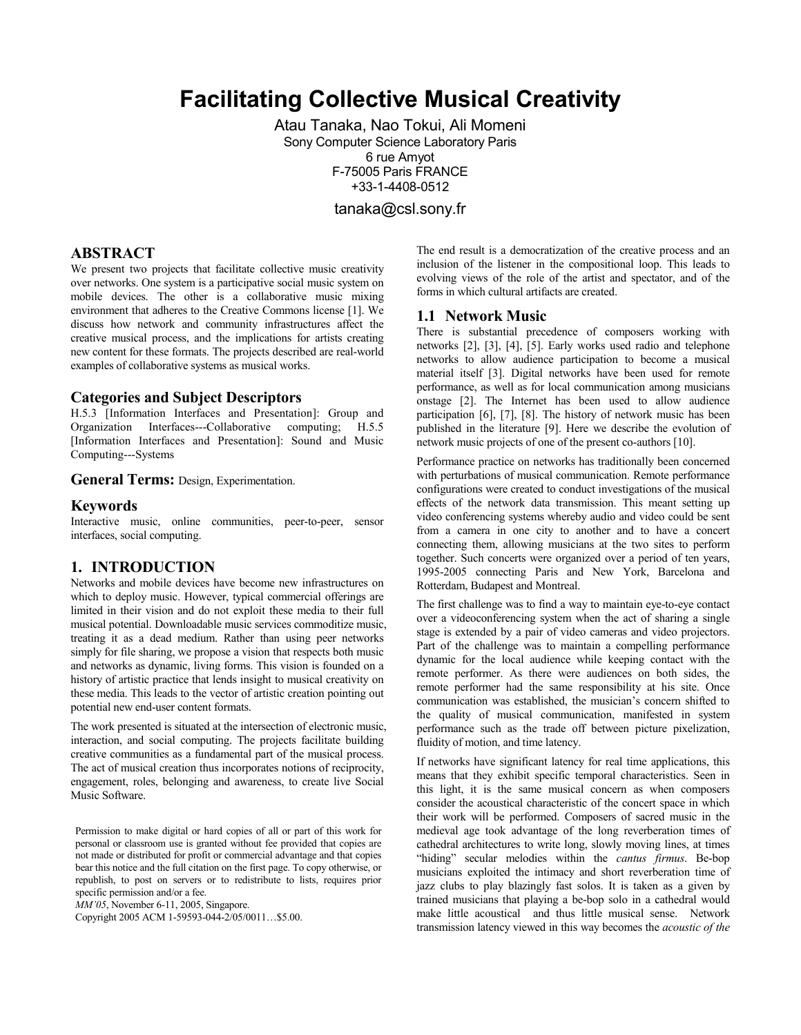# **Facilitating Collective Musical Creativity**

Atau Tanaka, Nao Tokui, Ali Momeni Sony Computer Science Laboratory Paris 6 rue Amyot F-75005 Paris FRANCE +33-1-4408-0512

tanaka@csl.sony.fr

# **ABSTRACT**

We present two projects that facilitate collective music creativity over networks. One system is a participative social music system on mobile devices. The other is a collaborative music mixing environment that adheres to the Creative Commons license [1]. We discuss how network and community infrastructures affect the creative musical process, and the implications for artists creating new content for these formats. The projects described are real-world examples of collaborative systems as musical works.

#### **Categories and Subject Descriptors**

H.5.3 [Information Interfaces and Presentation]: Group and Organization Interfaces---Collaborative computing; H.5.5 [Information Interfaces and Presentation]: Sound and Music Computing---Systems

**General Terms:** Design, Experimentation.

#### **Keywords**

Interactive music, online communities, peer-to-peer, sensor interfaces, social computing.

## **1. INTRODUCTION**

Networks and mobile devices have become new infrastructures on which to deploy music. However, typical commercial offerings are limited in their vision and do not exploit these media to their full musical potential. Downloadable music services commoditize music, treating it as a dead medium. Rather than using peer networks simply for file sharing, we propose a vision that respects both music and networks as dynamic, living forms. This vision is founded on a history of artistic practice that lends insight to musical creativity on these media. This leads to the vector of artistic creation pointing out potential new end-user content formats.

The work presented is situated at the intersection of electronic music, interaction, and social computing. The projects facilitate building creative communities as a fundamental part of the musical process. The act of musical creation thus incorporates notions of reciprocity, engagement, roles, belonging and awareness, to create live Social Music Software.

Permission to make digital or hard copies of all or part of this work for personal or classroom use is granted without fee provided that copies are not made or distributed for profit or commercial advantage and that copies bear this notice and the full citation on the first page. To copy otherwise, or republish, to post on servers or to redistribute to lists, requires prior specific permission and/or a fee.

*MM'05*, November 6-11, 2005, Singapore.

Copyright 2005 ACM 1-59593-044-2/05/0011…\$5.00.

The end result is a democratization of the creative process and an inclusion of the listener in the compositional loop. This leads to evolving views of the role of the artist and spectator, and of the forms in which cultural artifacts are created.

# **1.1 Network Music**

There is substantial precedence of composers working with networks [2], [3], [4], [5]. Early works used radio and telephone networks to allow audience participation to become a musical material itself [3]. Digital networks have been used for remote performance, as well as for local communication among musicians onstage [2]. The Internet has been used to allow audience participation [6], [7], [8]. The history of network music has been published in the literature [9]. Here we describe the evolution of network music projects of one of the present co-authors [10].

Performance practice on networks has traditionally been concerned with perturbations of musical communication. Remote performance configurations were created to conduct investigations of the musical effects of the network data transmission. This meant setting up video conferencing systems whereby audio and video could be sent from a camera in one city to another and to have a concert connecting them, allowing musicians at the two sites to perform together. Such concerts were organized over a period of ten years, 1995-2005 connecting Paris and New York, Barcelona and Rotterdam, Budapest and Montreal.

The first challenge was to find a way to maintain eye-to-eye contact over a videoconferencing system when the act of sharing a single stage is extended by a pair of video cameras and video projectors. Part of the challenge was to maintain a compelling performance dynamic for the local audience while keeping contact with the remote performer. As there were audiences on both sides, the remote performer had the same responsibility at his site. Once communication was established, the musician's concern shifted to the quality of musical communication, manifested in system performance such as the trade off between picture pixelization, fluidity of motion, and time latency.

If networks have significant latency for real time applications, this means that they exhibit specific temporal characteristics. Seen in this light, it is the same musical concern as when composers consider the acoustical characteristic of the concert space in which their work will be performed. Composers of sacred music in the medieval age took advantage of the long reverberation times of cathedral architectures to write long, slowly moving lines, at times "hiding" secular melodies within the *cantus firmus*. Be-bop musicians exploited the intimacy and short reverberation time of jazz clubs to play blazingly fast solos. It is taken as a given by trained musicians that playing a be-bop solo in a cathedral would make little acoustical and thus little musical sense. Network transmission latency viewed in this way becomes the *acoustic of the*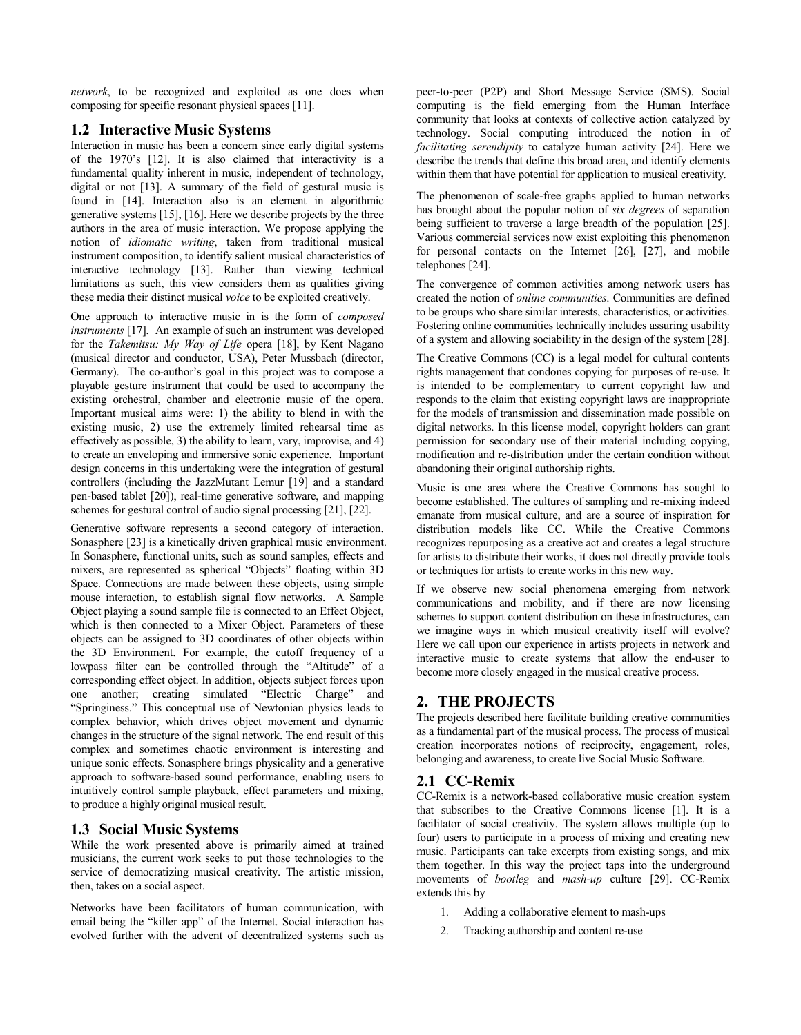*network*, to be recognized and exploited as one does when composing for specific resonant physical spaces [11].

## **1.2 Interactive Music Systems**

Interaction in music has been a concern since early digital systems of the 1970's [12]. It is also claimed that interactivity is a fundamental quality inherent in music, independent of technology, digital or not [13]. A summary of the field of gestural music is found in [14]. Interaction also is an element in algorithmic generative systems [15], [16]. Here we describe projects by the three authors in the area of music interaction. We propose applying the notion of *idiomatic writing*, taken from traditional musical instrument composition, to identify salient musical characteristics of interactive technology [13]. Rather than viewing technical limitations as such, this view considers them as qualities giving these media their distinct musical *voice* to be exploited creatively.

One approach to interactive music in is the form of *composed instruments* [17]*.* An example of such an instrument was developed for the *Takemitsu: My Way of Life* opera [18], by Kent Nagano (musical director and conductor, USA), Peter Mussbach (director, Germany). The co-author's goal in this project was to compose a playable gesture instrument that could be used to accompany the existing orchestral, chamber and electronic music of the opera. Important musical aims were: 1) the ability to blend in with the existing music, 2) use the extremely limited rehearsal time as effectively as possible, 3) the ability to learn, vary, improvise, and 4) to create an enveloping and immersive sonic experience. Important design concerns in this undertaking were the integration of gestural controllers (including the JazzMutant Lemur [19] and a standard pen-based tablet [20]), real-time generative software, and mapping schemes for gestural control of audio signal processing [21], [22].

Generative software represents a second category of interaction. Sonasphere [23] is a kinetically driven graphical music environment. In Sonasphere, functional units, such as sound samples, effects and mixers, are represented as spherical "Objects" floating within 3D Space. Connections are made between these objects, using simple mouse interaction, to establish signal flow networks. A Sample Object playing a sound sample file is connected to an Effect Object, which is then connected to a Mixer Object. Parameters of these objects can be assigned to 3D coordinates of other objects within the 3D Environment. For example, the cutoff frequency of a lowpass filter can be controlled through the "Altitude" of a corresponding effect object. In addition, objects subject forces upon one another; creating simulated "Electric Charge" and "Springiness." This conceptual use of Newtonian physics leads to complex behavior, which drives object movement and dynamic changes in the structure of the signal network. The end result of this complex and sometimes chaotic environment is interesting and unique sonic effects. Sonasphere brings physicality and a generative approach to software-based sound performance, enabling users to intuitively control sample playback, effect parameters and mixing, to produce a highly original musical result.

## **1.3 Social Music Systems**

While the work presented above is primarily aimed at trained musicians, the current work seeks to put those technologies to the service of democratizing musical creativity. The artistic mission, then, takes on a social aspect.

Networks have been facilitators of human communication, with email being the "killer app" of the Internet. Social interaction has evolved further with the advent of decentralized systems such as

peer-to-peer (P2P) and Short Message Service (SMS). Social computing is the field emerging from the Human Interface community that looks at contexts of collective action catalyzed by technology. Social computing introduced the notion in of *facilitating serendipity* to catalyze human activity [24]. Here we describe the trends that define this broad area, and identify elements within them that have potential for application to musical creativity.

The phenomenon of scale-free graphs applied to human networks has brought about the popular notion of *six degrees* of separation being sufficient to traverse a large breadth of the population [25]. Various commercial services now exist exploiting this phenomenon for personal contacts on the Internet  $[26]$ ,  $[27]$ , and mobile telephones [24].

The convergence of common activities among network users has created the notion of *online communities*. Communities are defined to be groups who share similar interests, characteristics, or activities. Fostering online communities technically includes assuring usability of a system and allowing sociability in the design of the system [28].

The Creative Commons (CC) is a legal model for cultural contents rights management that condones copying for purposes of re-use. It is intended to be complementary to current copyright law and responds to the claim that existing copyright laws are inappropriate for the models of transmission and dissemination made possible on digital networks. In this license model, copyright holders can grant permission for secondary use of their material including copying, modification and re-distribution under the certain condition without abandoning their original authorship rights.

Music is one area where the Creative Commons has sought to become established. The cultures of sampling and re-mixing indeed emanate from musical culture, and are a source of inspiration for distribution models like CC. While the Creative Commons recognizes repurposing as a creative act and creates a legal structure for artists to distribute their works, it does not directly provide tools or techniques for artists to create works in this new way.

If we observe new social phenomena emerging from network communications and mobility, and if there are now licensing schemes to support content distribution on these infrastructures, can we imagine ways in which musical creativity itself will evolve? Here we call upon our experience in artists projects in network and interactive music to create systems that allow the end-user to become more closely engaged in the musical creative process.

# **2. THE PROJECTS**

The projects described here facilitate building creative communities as a fundamental part of the musical process. The process of musical creation incorporates notions of reciprocity, engagement, roles, belonging and awareness, to create live Social Music Software.

# **2.1 CC-Remix**

CC-Remix is a network-based collaborative music creation system that subscribes to the Creative Commons license [1]. It is a facilitator of social creativity. The system allows multiple (up to four) users to participate in a process of mixing and creating new music. Participants can take excerpts from existing songs, and mix them together. In this way the project taps into the underground movements of *bootleg* and *mash-up* culture [29]. CC-Remix extends this by

- 1. Adding a collaborative element to mash-ups
- 2. Tracking authorship and content re-use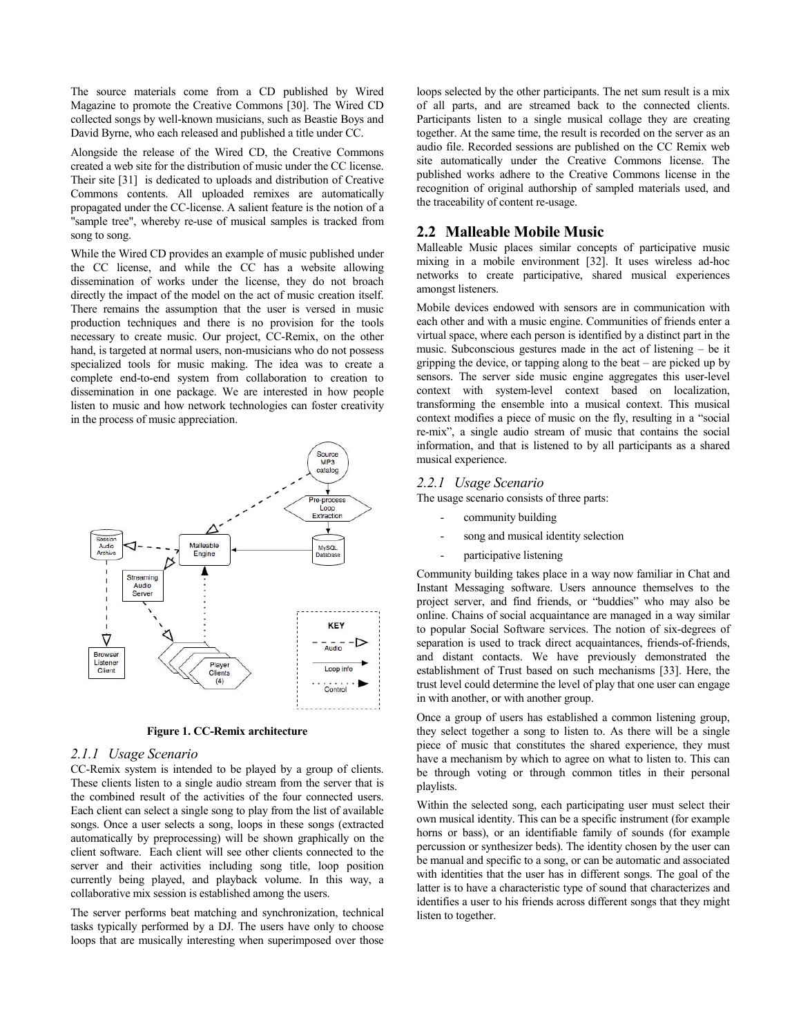The source materials come from a CD published by Wired Magazine to promote the Creative Commons [30]. The Wired CD collected songs by well-known musicians, such as Beastie Boys and David Byrne, who each released and published a title under CC.

Alongside the release of the Wired CD, the Creative Commons created a web site for the distribution of music under the CC license. Their site [31] is dedicated to uploads and distribution of Creative Commons contents. All uploaded remixes are automatically propagated under the CC-license. A salient feature is the notion of a "sample tree", whereby re-use of musical samples is tracked from song to song.

While the Wired CD provides an example of music published under the CC license, and while the CC has a website allowing dissemination of works under the license, they do not broach directly the impact of the model on the act of music creation itself. There remains the assumption that the user is versed in music production techniques and there is no provision for the tools necessary to create music. Our project, CC-Remix, on the other hand, is targeted at normal users, non-musicians who do not possess specialized tools for music making. The idea was to create a complete end-to-end system from collaboration to creation to dissemination in one package. We are interested in how people listen to music and how network technologies can foster creativity in the process of music appreciation.



**Figure 1. CC-Remix architecture** 

#### *2.1.1 Usage Scenario*

CC-Remix system is intended to be played by a group of clients. These clients listen to a single audio stream from the server that is the combined result of the activities of the four connected users. Each client can select a single song to play from the list of available songs. Once a user selects a song, loops in these songs (extracted automatically by preprocessing) will be shown graphically on the client software. Each client will see other clients connected to the server and their activities including song title, loop position currently being played, and playback volume. In this way, a collaborative mix session is established among the users.

The server performs beat matching and synchronization, technical tasks typically performed by a DJ. The users have only to choose loops that are musically interesting when superimposed over those

loops selected by the other participants. The net sum result is a mix of all parts, and are streamed back to the connected clients. Participants listen to a single musical collage they are creating together. At the same time, the result is recorded on the server as an audio file. Recorded sessions are published on the CC Remix web site automatically under the Creative Commons license. The published works adhere to the Creative Commons license in the recognition of original authorship of sampled materials used, and the traceability of content re-usage.

### **2.2 Malleable Mobile Music**

Malleable Music places similar concepts of participative music mixing in a mobile environment [32]. It uses wireless ad-hoc networks to create participative, shared musical experiences amongst listeners.

Mobile devices endowed with sensors are in communication with each other and with a music engine. Communities of friends enter a virtual space, where each person is identified by a distinct part in the music. Subconscious gestures made in the act of listening – be it gripping the device, or tapping along to the beat – are picked up by sensors. The server side music engine aggregates this user-level context with system-level context based on localization, transforming the ensemble into a musical context. This musical context modifies a piece of music on the fly, resulting in a "social re-mix", a single audio stream of music that contains the social information, and that is listened to by all participants as a shared musical experience.

#### *2.2.1 Usage Scenario*

The usage scenario consists of three parts:

- community building
- song and musical identity selection
- participative listening

Community building takes place in a way now familiar in Chat and Instant Messaging software. Users announce themselves to the project server, and find friends, or "buddies" who may also be online. Chains of social acquaintance are managed in a way similar to popular Social Software services. The notion of six-degrees of separation is used to track direct acquaintances, friends-of-friends, and distant contacts. We have previously demonstrated the establishment of Trust based on such mechanisms [33]. Here, the trust level could determine the level of play that one user can engage in with another, or with another group.

Once a group of users has established a common listening group, they select together a song to listen to. As there will be a single piece of music that constitutes the shared experience, they must have a mechanism by which to agree on what to listen to. This can be through voting or through common titles in their personal playlists.

Within the selected song, each participating user must select their own musical identity. This can be a specific instrument (for example horns or bass), or an identifiable family of sounds (for example percussion or synthesizer beds). The identity chosen by the user can be manual and specific to a song, or can be automatic and associated with identities that the user has in different songs. The goal of the latter is to have a characteristic type of sound that characterizes and identifies a user to his friends across different songs that they might listen to together.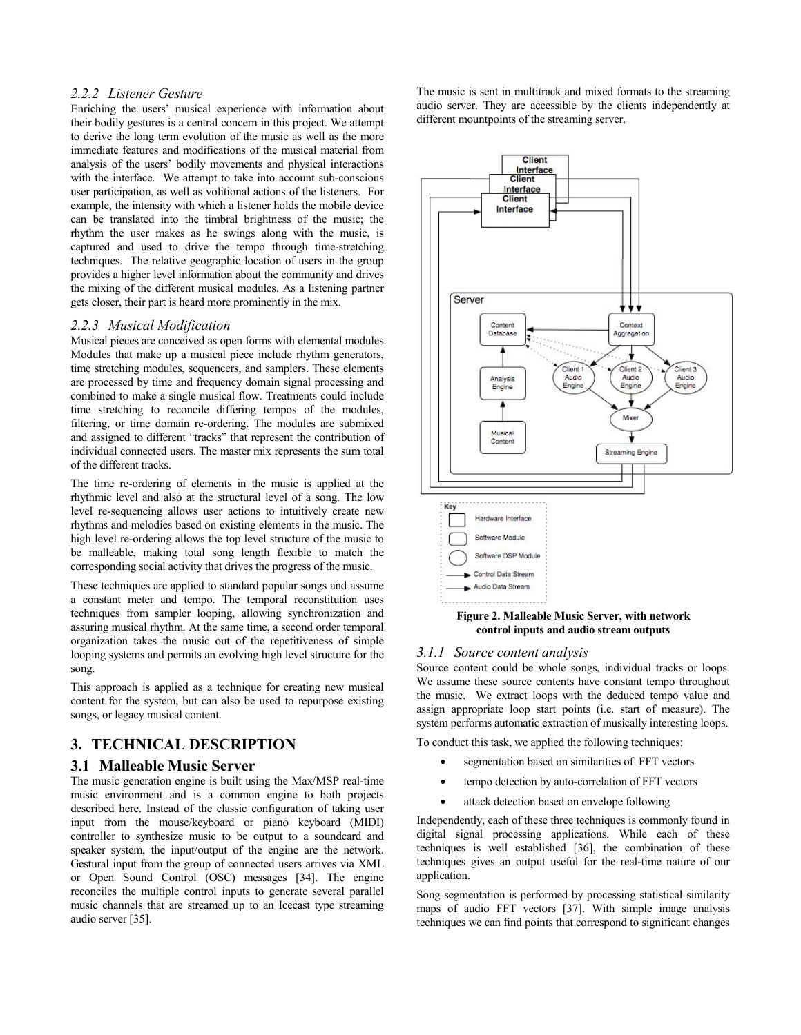#### *2.2.2 Listener Gesture*

Enriching the users' musical experience with information about their bodily gestures is a central concern in this project. We attempt to derive the long term evolution of the music as well as the more immediate features and modifications of the musical material from analysis of the users' bodily movements and physical interactions with the interface. We attempt to take into account sub-conscious user participation, as well as volitional actions of the listeners. For example, the intensity with which a listener holds the mobile device can be translated into the timbral brightness of the music; the rhythm the user makes as he swings along with the music, is captured and used to drive the tempo through time-stretching techniques. The relative geographic location of users in the group provides a higher level information about the community and drives the mixing of the different musical modules. As a listening partner gets closer, their part is heard more prominently in the mix.

#### *2.2.3 Musical Modification*

Musical pieces are conceived as open forms with elemental modules. Modules that make up a musical piece include rhythm generators, time stretching modules, sequencers, and samplers. These elements are processed by time and frequency domain signal processing and combined to make a single musical flow. Treatments could include time stretching to reconcile differing tempos of the modules, filtering, or time domain re-ordering. The modules are submixed and assigned to different "tracks" that represent the contribution of individual connected users. The master mix represents the sum total of the different tracks.

The time re-ordering of elements in the music is applied at the rhythmic level and also at the structural level of a song. The low level re-sequencing allows user actions to intuitively create new rhythms and melodies based on existing elements in the music. The high level re-ordering allows the top level structure of the music to be malleable, making total song length flexible to match the corresponding social activity that drives the progress of the music.

These techniques are applied to standard popular songs and assume a constant meter and tempo. The temporal reconstitution uses techniques from sampler looping, allowing synchronization and assuring musical rhythm. At the same time, a second order temporal organization takes the music out of the repetitiveness of simple looping systems and permits an evolving high level structure for the song.

This approach is applied as a technique for creating new musical content for the system, but can also be used to repurpose existing songs, or legacy musical content.

## **3. TECHNICAL DESCRIPTION**

#### **3.1 Malleable Music Server**

The music generation engine is built using the Max/MSP real-time music environment and is a common engine to both projects described here. Instead of the classic configuration of taking user input from the mouse/keyboard or piano keyboard (MIDI) controller to synthesize music to be output to a soundcard and speaker system, the input/output of the engine are the network. Gestural input from the group of connected users arrives via XML or Open Sound Control (OSC) messages [34]. The engine reconciles the multiple control inputs to generate several parallel music channels that are streamed up to an Icecast type streaming audio server [35].

The music is sent in multitrack and mixed formats to the streaming audio server. They are accessible by the clients independently at different mountpoints of the streaming server.



#### *3.1.1 Source content analysis*

Source content could be whole songs, individual tracks or loops. We assume these source contents have constant tempo throughout the music. We extract loops with the deduced tempo value and assign appropriate loop start points (i.e. start of measure). The system performs automatic extraction of musically interesting loops.

To conduct this task, we applied the following techniques:

- segmentation based on similarities of FFT vectors
- tempo detection by auto-correlation of FFT vectors
- attack detection based on envelope following

Independently, each of these three techniques is commonly found in digital signal processing applications. While each of these techniques is well established [36], the combination of these techniques gives an output useful for the real-time nature of our application.

Song segmentation is performed by processing statistical similarity maps of audio FFT vectors [37]. With simple image analysis techniques we can find points that correspond to significant changes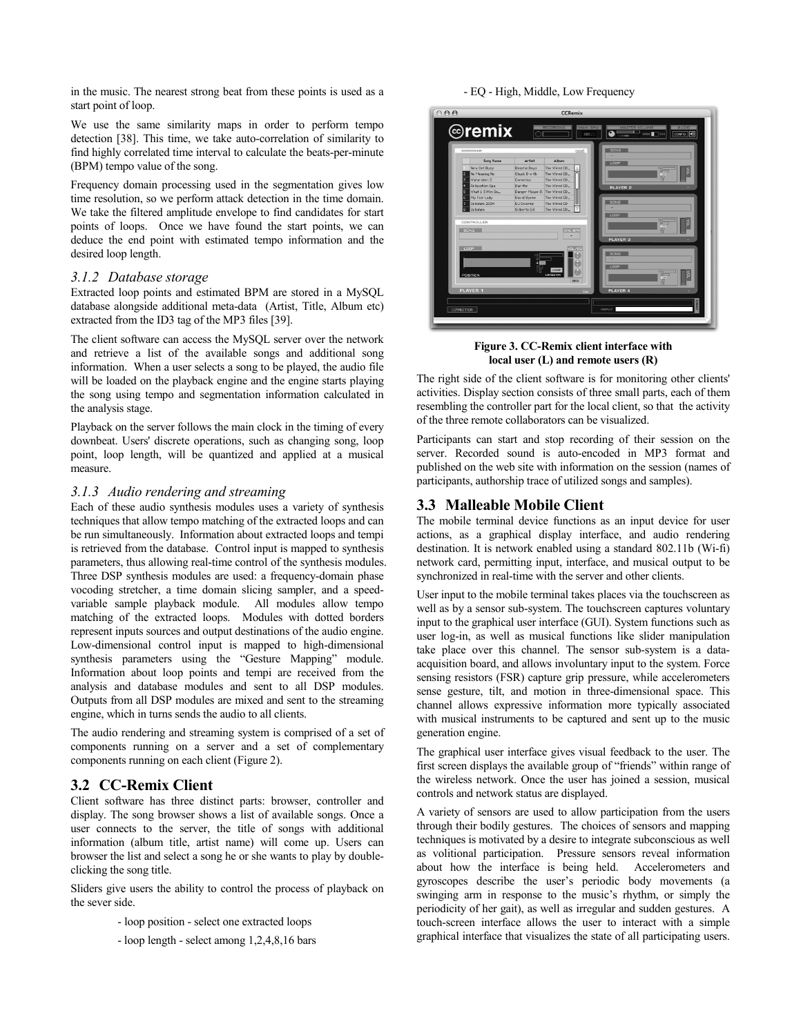in the music. The nearest strong beat from these points is used as a start point of loop.

We use the same similarity maps in order to perform tempo detection [38]. This time, we take auto-correlation of similarity to find highly correlated time interval to calculate the beats-per-minute (BPM) tempo value of the song.

Frequency domain processing used in the segmentation gives low time resolution, so we perform attack detection in the time domain. We take the filtered amplitude envelope to find candidates for start points of loops. Once we have found the start points, we can deduce the end point with estimated tempo information and the desired loop length.

#### *3.1.2 Database storage*

Extracted loop points and estimated BPM are stored in a MySQL database alongside additional meta-data (Artist, Title, Album etc) extracted from the ID3 tag of the MP3 files [39].

The client software can access the MySQL server over the network and retrieve a list of the available songs and additional song information. When a user selects a song to be played, the audio file will be loaded on the playback engine and the engine starts playing the song using tempo and segmentation information calculated in the analysis stage.

Playback on the server follows the main clock in the timing of every downbeat. Users' discrete operations, such as changing song, loop point, loop length, will be quantized and applied at a musical measure.

#### *3.1.3 Audio rendering and streaming*

Each of these audio synthesis modules uses a variety of synthesis techniques that allow tempo matching of the extracted loops and can be run simultaneously. Information about extracted loops and tempi is retrieved from the database. Control input is mapped to synthesis parameters, thus allowing real-time control of the synthesis modules. Three DSP synthesis modules are used: a frequency-domain phase vocoding stretcher, a time domain slicing sampler, and a speedvariable sample playback module. All modules allow tempo matching of the extracted loops. Modules with dotted borders represent inputs sources and output destinations of the audio engine. Low-dimensional control input is mapped to high-dimensional synthesis parameters using the "Gesture Mapping" module. Information about loop points and tempi are received from the analysis and database modules and sent to all DSP modules. Outputs from all DSP modules are mixed and sent to the streaming engine, which in turns sends the audio to all clients.

The audio rendering and streaming system is comprised of a set of components running on a server and a set of complementary components running on each client (Figure 2).

# **3.2 CC-Remix Client**

Client software has three distinct parts: browser, controller and display. The song browser shows a list of available songs. Once a user connects to the server, the title of songs with additional information (album title, artist name) will come up. Users can browser the list and select a song he or she wants to play by doubleclicking the song title.

Sliders give users the ability to control the process of playback on the sever side.

- loop position select one extracted loops
- loop length select among 1,2,4,8,16 bars

#### - EQ - High, Middle, Low Frequency



**Figure 3. CC-Remix client interface with local user (L) and remote users (R)** 

The right side of the client software is for monitoring other clients' activities. Display section consists of three small parts, each of them resembling the controller part for the local client, so that the activity of the three remote collaborators can be visualized.

Participants can start and stop recording of their session on the server. Recorded sound is auto-encoded in MP3 format and published on the web site with information on the session (names of participants, authorship trace of utilized songs and samples).

# **3.3 Malleable Mobile Client**

The mobile terminal device functions as an input device for user actions, as a graphical display interface, and audio rendering destination. It is network enabled using a standard 802.11b (Wi-fi) network card, permitting input, interface, and musical output to be synchronized in real-time with the server and other clients.

User input to the mobile terminal takes places via the touchscreen as well as by a sensor sub-system. The touchscreen captures voluntary input to the graphical user interface (GUI). System functions such as user log-in, as well as musical functions like slider manipulation take place over this channel. The sensor sub-system is a dataacquisition board, and allows involuntary input to the system. Force sensing resistors (FSR) capture grip pressure, while accelerometers sense gesture, tilt, and motion in three-dimensional space. This channel allows expressive information more typically associated with musical instruments to be captured and sent up to the music generation engine.

The graphical user interface gives visual feedback to the user. The first screen displays the available group of "friends" within range of the wireless network. Once the user has joined a session, musical controls and network status are displayed.

A variety of sensors are used to allow participation from the users through their bodily gestures. The choices of sensors and mapping techniques is motivated by a desire to integrate subconscious as well as volitional participation. Pressure sensors reveal information about how the interface is being held. Accelerometers and gyroscopes describe the user's periodic body movements (a swinging arm in response to the music's rhythm, or simply the periodicity of her gait), as well as irregular and sudden gestures. A touch-screen interface allows the user to interact with a simple graphical interface that visualizes the state of all participating users.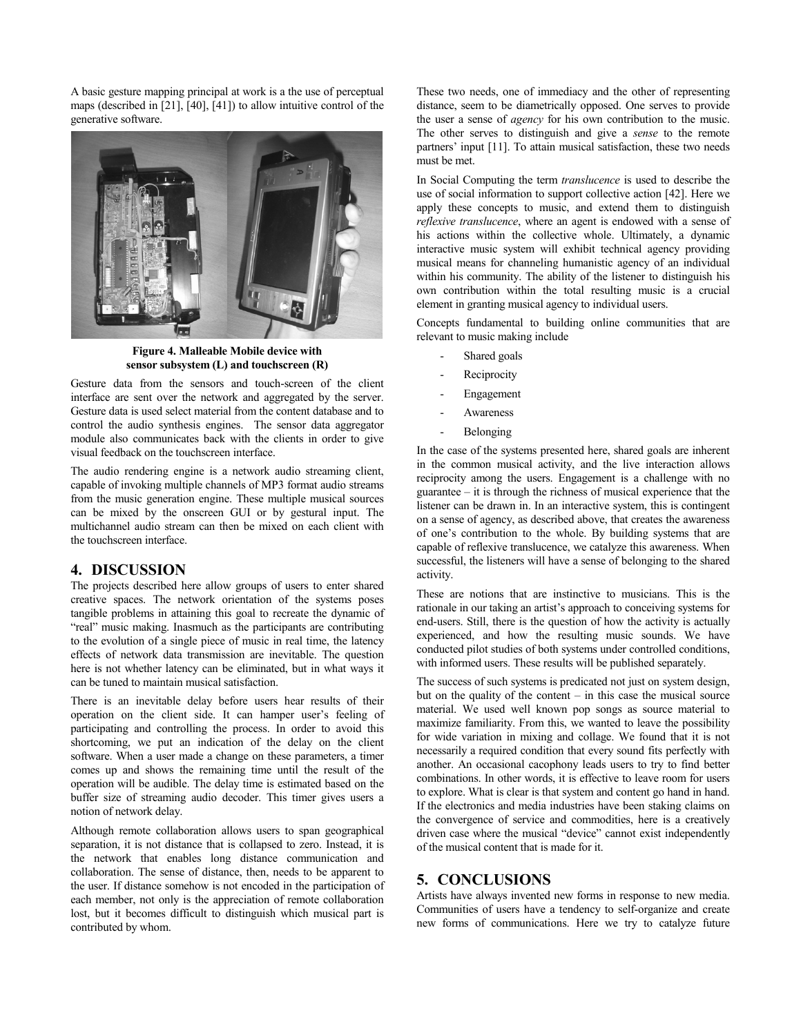A basic gesture mapping principal at work is a the use of perceptual maps (described in [21], [40], [41]) to allow intuitive control of the generative software.



**Figure 4. Malleable Mobile device with sensor subsystem (L) and touchscreen (R)** 

Gesture data from the sensors and touch-screen of the client interface are sent over the network and aggregated by the server. Gesture data is used select material from the content database and to control the audio synthesis engines. The sensor data aggregator module also communicates back with the clients in order to give visual feedback on the touchscreen interface.

The audio rendering engine is a network audio streaming client, capable of invoking multiple channels of MP3 format audio streams from the music generation engine. These multiple musical sources can be mixed by the onscreen GUI or by gestural input. The multichannel audio stream can then be mixed on each client with the touchscreen interface.

## **4. DISCUSSION**

The projects described here allow groups of users to enter shared creative spaces. The network orientation of the systems poses tangible problems in attaining this goal to recreate the dynamic of "real" music making. Inasmuch as the participants are contributing to the evolution of a single piece of music in real time, the latency effects of network data transmission are inevitable. The question here is not whether latency can be eliminated, but in what ways it can be tuned to maintain musical satisfaction.

There is an inevitable delay before users hear results of their operation on the client side. It can hamper user's feeling of participating and controlling the process. In order to avoid this shortcoming, we put an indication of the delay on the client software. When a user made a change on these parameters, a timer comes up and shows the remaining time until the result of the operation will be audible. The delay time is estimated based on the buffer size of streaming audio decoder. This timer gives users a notion of network delay.

Although remote collaboration allows users to span geographical separation, it is not distance that is collapsed to zero. Instead, it is the network that enables long distance communication and collaboration. The sense of distance, then, needs to be apparent to the user. If distance somehow is not encoded in the participation of each member, not only is the appreciation of remote collaboration lost, but it becomes difficult to distinguish which musical part is contributed by whom.

These two needs, one of immediacy and the other of representing distance, seem to be diametrically opposed. One serves to provide the user a sense of *agency* for his own contribution to the music. The other serves to distinguish and give a *sense* to the remote partners' input [11]. To attain musical satisfaction, these two needs must be met.

In Social Computing the term *translucence* is used to describe the use of social information to support collective action [42]. Here we apply these concepts to music, and extend them to distinguish *reflexive translucence*, where an agent is endowed with a sense of his actions within the collective whole. Ultimately, a dynamic interactive music system will exhibit technical agency providing musical means for channeling humanistic agency of an individual within his community. The ability of the listener to distinguish his own contribution within the total resulting music is a crucial element in granting musical agency to individual users.

Concepts fundamental to building online communities that are relevant to music making include

- Shared goals
- Reciprocity
- Engagement
- **Awareness**
- **Belonging**

In the case of the systems presented here, shared goals are inherent in the common musical activity, and the live interaction allows reciprocity among the users. Engagement is a challenge with no guarantee – it is through the richness of musical experience that the listener can be drawn in. In an interactive system, this is contingent on a sense of agency, as described above, that creates the awareness of one's contribution to the whole. By building systems that are capable of reflexive translucence, we catalyze this awareness. When successful, the listeners will have a sense of belonging to the shared activity.

These are notions that are instinctive to musicians. This is the rationale in our taking an artist's approach to conceiving systems for end-users. Still, there is the question of how the activity is actually experienced, and how the resulting music sounds. We have conducted pilot studies of both systems under controlled conditions, with informed users. These results will be published separately.

The success of such systems is predicated not just on system design, but on the quality of the content – in this case the musical source material. We used well known pop songs as source material to maximize familiarity. From this, we wanted to leave the possibility for wide variation in mixing and collage. We found that it is not necessarily a required condition that every sound fits perfectly with another. An occasional cacophony leads users to try to find better combinations. In other words, it is effective to leave room for users to explore. What is clear is that system and content go hand in hand. If the electronics and media industries have been staking claims on the convergence of service and commodities, here is a creatively driven case where the musical "device" cannot exist independently of the musical content that is made for it.

# **5. CONCLUSIONS**

Artists have always invented new forms in response to new media. Communities of users have a tendency to self-organize and create new forms of communications. Here we try to catalyze future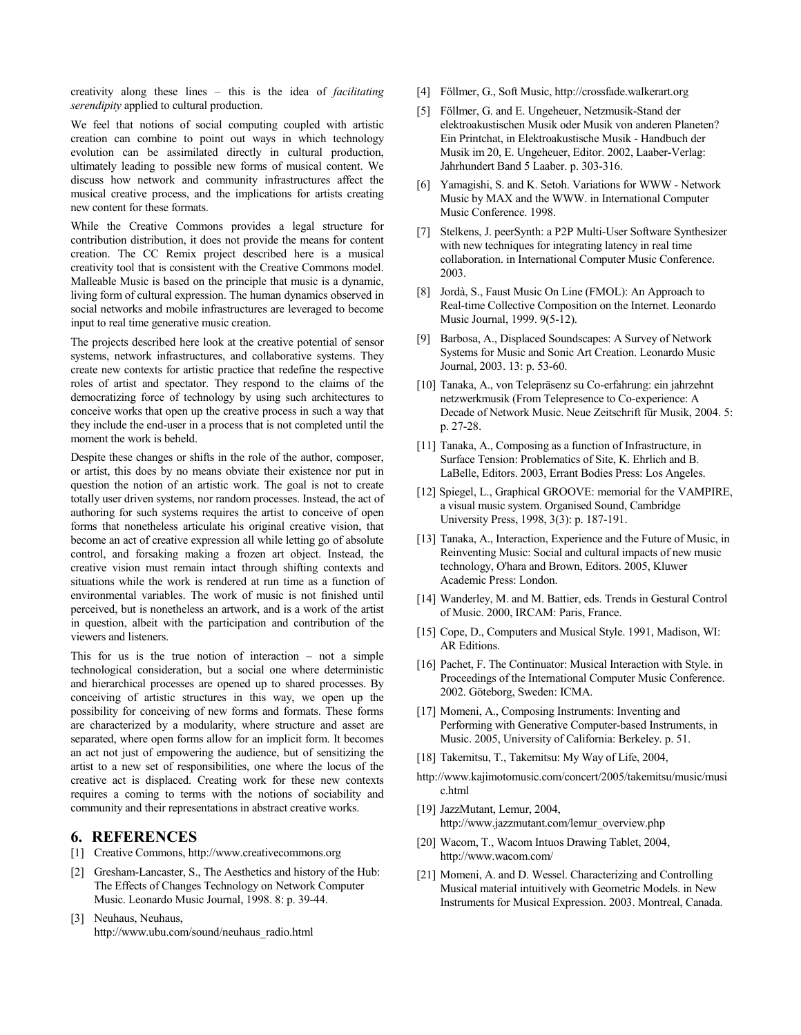creativity along these lines – this is the idea of *facilitating serendipity* applied to cultural production.

We feel that notions of social computing coupled with artistic creation can combine to point out ways in which technology evolution can be assimilated directly in cultural production, ultimately leading to possible new forms of musical content. We discuss how network and community infrastructures affect the musical creative process, and the implications for artists creating new content for these formats.

While the Creative Commons provides a legal structure for contribution distribution, it does not provide the means for content creation. The CC Remix project described here is a musical creativity tool that is consistent with the Creative Commons model. Malleable Music is based on the principle that music is a dynamic, living form of cultural expression. The human dynamics observed in social networks and mobile infrastructures are leveraged to become input to real time generative music creation.

The projects described here look at the creative potential of sensor systems, network infrastructures, and collaborative systems. They create new contexts for artistic practice that redefine the respective roles of artist and spectator. They respond to the claims of the democratizing force of technology by using such architectures to conceive works that open up the creative process in such a way that they include the end-user in a process that is not completed until the moment the work is beheld.

Despite these changes or shifts in the role of the author, composer, or artist, this does by no means obviate their existence nor put in question the notion of an artistic work. The goal is not to create totally user driven systems, nor random processes. Instead, the act of authoring for such systems requires the artist to conceive of open forms that nonetheless articulate his original creative vision, that become an act of creative expression all while letting go of absolute control, and forsaking making a frozen art object. Instead, the creative vision must remain intact through shifting contexts and situations while the work is rendered at run time as a function of environmental variables. The work of music is not finished until perceived, but is nonetheless an artwork, and is a work of the artist in question, albeit with the participation and contribution of the viewers and listeners.

This for us is the true notion of interaction  $-$  not a simple technological consideration, but a social one where deterministic and hierarchical processes are opened up to shared processes. By conceiving of artistic structures in this way, we open up the possibility for conceiving of new forms and formats. These forms are characterized by a modularity, where structure and asset are separated, where open forms allow for an implicit form. It becomes an act not just of empowering the audience, but of sensitizing the artist to a new set of responsibilities, one where the locus of the creative act is displaced. Creating work for these new contexts requires a coming to terms with the notions of sociability and community and their representations in abstract creative works.

## **6. REFERENCES**

- [1] Creative Commons, http://www.creativecommons.org
- [2] Gresham-Lancaster, S., The Aesthetics and history of the Hub: The Effects of Changes Technology on Network Computer Music. Leonardo Music Journal, 1998. 8: p. 39-44.
- [3] Neuhaus, Neuhaus, http://www.ubu.com/sound/neuhaus\_radio.html
- [4] Föllmer, G., Soft Music, http://crossfade.walkerart.org
- [5] Föllmer, G. and E. Ungeheuer, Netzmusik-Stand der elektroakustischen Musik oder Musik von anderen Planeten? Ein Printchat, in Elektroakustische Musik - Handbuch der Musik im 20, E. Ungeheuer, Editor. 2002, Laaber-Verlag: Jahrhundert Band 5 Laaber. p. 303-316.
- [6] Yamagishi, S. and K. Setoh. Variations for WWW Network Music by MAX and the WWW. in International Computer Music Conference. 1998.
- [7] Stelkens, J. peerSynth: a P2P Multi-User Software Synthesizer with new techniques for integrating latency in real time collaboration. in International Computer Music Conference. 2003.
- [8] Jordà, S., Faust Music On Line (FMOL): An Approach to Real-time Collective Composition on the Internet. Leonardo Music Journal, 1999. 9(5-12).
- [9] Barbosa, A., Displaced Soundscapes: A Survey of Network Systems for Music and Sonic Art Creation. Leonardo Music Journal, 2003. 13: p. 53-60.
- [10] Tanaka, A., von Telepräsenz su Co-erfahrung: ein jahrzehnt netzwerkmusik (From Telepresence to Co-experience: A Decade of Network Music. Neue Zeitschrift für Musik, 2004. 5: p. 27-28.
- [11] Tanaka, A., Composing as a function of Infrastructure, in Surface Tension: Problematics of Site, K. Ehrlich and B. LaBelle, Editors. 2003, Errant Bodies Press: Los Angeles.
- [12] Spiegel, L., Graphical GROOVE: memorial for the VAMPIRE, a visual music system. Organised Sound, Cambridge University Press, 1998, 3(3): p. 187-191.
- [13] Tanaka, A., Interaction, Experience and the Future of Music, in Reinventing Music: Social and cultural impacts of new music technology, O'hara and Brown, Editors. 2005, Kluwer Academic Press: London.
- [14] Wanderley, M. and M. Battier, eds. Trends in Gestural Control of Music. 2000, IRCAM: Paris, France.
- [15] Cope, D., Computers and Musical Style. 1991, Madison, WI: AR Editions.
- [16] Pachet, F. The Continuator: Musical Interaction with Style. in Proceedings of the International Computer Music Conference. 2002. Göteborg, Sweden: ICMA.
- [17] Momeni, A., Composing Instruments: Inventing and Performing with Generative Computer-based Instruments, in Music. 2005, University of California: Berkeley. p. 51.
- [18] Takemitsu, T., Takemitsu: My Way of Life, 2004,
- http://www.kajimotomusic.com/concert/2005/takemitsu/music/musi c.html
- [19] JazzMutant, Lemur, 2004, http://www.jazzmutant.com/lemur\_overview.php
- [20] Wacom, T., Wacom Intuos Drawing Tablet, 2004, http://www.wacom.com/
- [21] Momeni, A. and D. Wessel. Characterizing and Controlling Musical material intuitively with Geometric Models. in New Instruments for Musical Expression. 2003. Montreal, Canada.